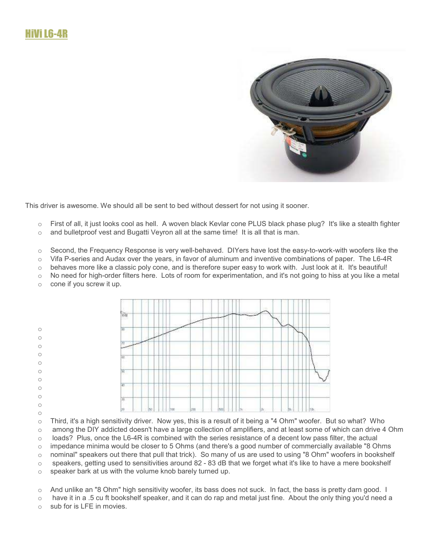

This driver is awesome. We should all be sent to bed without dessert for not using it sooner.

- o First of all, it just looks cool as hell. A woven black Kevlar cone PLUS black phase plug? It's like a stealth fighter
- $\circ$  and bullet proof vest and Bugatti Veyron all at the same time! It is all that is man.
- o Second, the Frequency Response is very well-behaved. DIYers have lost the easy-to-work-with woofers like the
- o Vifa P-series and Audax over the years, in favor of aluminum and inventive combinations of paper. The L6-4R
- $\circ$  behaves more like a classic poly cone, and is therefore super easy to work with. Just look at it. It's beautiful!
- $\circ$  No need for high-order filters here. Lots of room for experimentation, and it's not going to hiss at you like a metal
- o cone if you screw it up.



- o Third, it's a high sensitivity driver. Now yes, this is a result of it being a "4 Ohm" woofer. But so what? Who  $\circ$  among the DIY addicted doesn't have a large collection of amplifiers, and at least some of which can drive 4 Ohm  $\circ$  loads? Plus, once the L6-4R is combined with the series resistance of a decent low pass filter, the actual
- o impedance minima would be closer to 5 Ohms (and there's a good number of commercially available "8 Ohms
- o nominal" speakers out there that pull that trick). So many of us are used to using "8 Ohm" woofers in bookshelf
- $\circ$  speakers, getting used to sensitivities around 82 83 dB that we forget what it's like to have a mere bookshelf
- o speaker bark at us with the volume knob barely turned up.
- o And unlike an "8 Ohm" high sensitivity woofer, its bass does not suck. In fact, the bass is pretty darn good. I
- $\circ$  have it in a .5 cu ft bookshelf speaker, and it can do rap and metal just fine. About the only thing you'd need a
- $\circ$  sub for is LFE in movies.